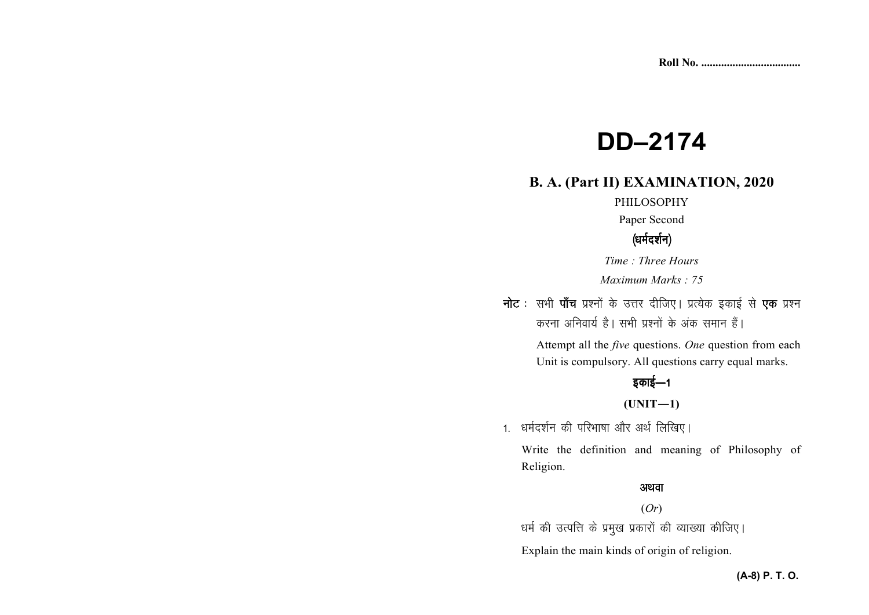# **DD–2174**

## **B. A. (Part II) EXAMINATION, 2020**

#### PHILOSOPHY

Paper Second

## (धर्मदर्शन)

*Time : Three Hours* 

*Maximum Marks : 75*

नोट : सभी पाँच प्रश्नों के उत्तर दीजिए। प्रत्येक इकाई से **एक** प्रश्न करना अनिवार्य है। सभी प्रश्नों के अंक समान हैं।

> Attempt all the *five* questions. *One* question from each Unit is compulsory. All questions carry equal marks.

## इकाई—1

**(UNIT—1)** 

1. धर्मदर्शन की परिभाषा और अर्थ लिखिए।

Write the definition and meaning of Philosophy of Religion.

### अथवा

#### (*Or*)

धर्म की उत्पत्ति के प्रमुख प्रकारों की व्याख्या कीजिए।

Explain the main kinds of origin of religion.

## **(A-8) P. T. O.**